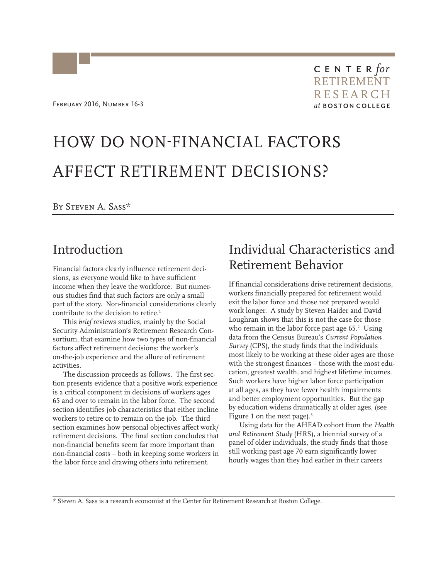# HOW DO NON-FINANCIAL FACTORS AFFECT RETIREMENT DECISIONS?

By Steven A. Sass\*

#### Introduction

Financial factors clearly influence retirement decisions, as everyone would like to have sufficient income when they leave the workforce. But numerous studies find that such factors are only a small part of the story. Non-financial considerations clearly contribute to the decision to retire.<sup>1</sup>

This *brief* reviews studies, mainly by the Social Security Administration's Retirement Research Consortium, that examine how two types of non-financial factors affect retirement decisions: the worker's on-the-job experience and the allure of retirement activities.

The discussion proceeds as follows. The first section presents evidence that a positive work experience is a critical component in decisions of workers ages 65 and over to remain in the labor force. The second section identifies job characteristics that either incline workers to retire or to remain on the job. The third section examines how personal objectives affect work/ retirement decisions. The final section concludes that non-financial benefits seem far more important than non-financial costs – both in keeping some workers in the labor force and drawing others into retirement.

# Individual Characteristics and Retirement Behavior

If financial considerations drive retirement decisions, workers financially prepared for retirement would exit the labor force and those not prepared would work longer. A study by Steven Haider and David Loughran shows that this is not the case for those who remain in the labor force past age  $65.^2$  Using data from the Census Bureau's *Current Population Survey* (CPS), the study finds that the individuals most likely to be working at these older ages are those with the strongest finances – those with the most education, greatest wealth, and highest lifetime incomes. Such workers have higher labor force participation at all ages, as they have fewer health impairments and better employment opportunities. But the gap by education widens dramatically at older ages, (see Figure 1 on the next page).<sup>3</sup>

Using data for the AHEAD cohort from the *Health and Retirement Study* (HRS), a biennial survey of a panel of older individuals, the study finds that those still working past age 70 earn significantly lower hourly wages than they had earlier in their careers

\* Steven A. Sass is a research economist at the Center for Retirement Research at Boston College.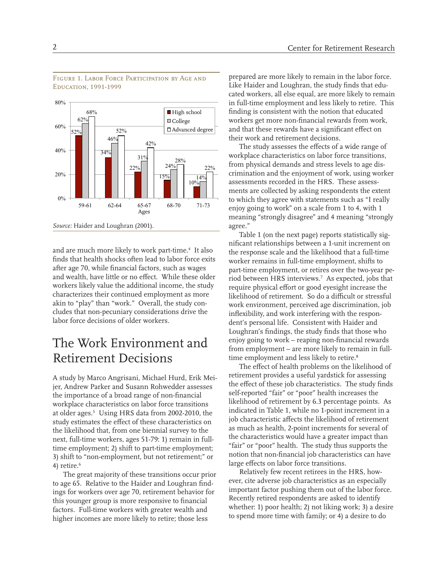

Figure 1. Labor Force Participation by Age and Education, 1991-1999

and are much more likely to work part-time.<sup>4</sup> It also finds that health shocks often lead to labor force exits after age 70, while financial factors, such as wages and wealth, have little or no effect. While these older workers likely value the additional income, the study characterizes their continued employment as more akin to "play" than "work." Overall, the study concludes that non-pecuniary considerations drive the labor force decisions of older workers.

# The Work Environment and Retirement Decisions

A study by Marco Angrisani, Michael Hurd, Erik Meijer, Andrew Parker and Susann Rohwedder assesses the importance of a broad range of non-financial workplace characteristics on labor force transitions at older ages.<sup>5</sup> Using HRS data from 2002-2010, the study estimates the effect of these characteristics on the likelihood that, from one biennial survey to the next, full-time workers, ages 51-79: 1) remain in fulltime employment; 2) shift to part-time employment; 3) shift to "non-employment, but not retirement;" or 4) retire. $^6$ 

The great majority of these transitions occur prior to age 65. Relative to the Haider and Loughran findings for workers over age 70, retirement behavior for this younger group is more responsive to financial factors. Full-time workers with greater wealth and higher incomes are more likely to retire; those less

prepared are more likely to remain in the labor force. Like Haider and Loughran, the study finds that educated workers, all else equal, are more likely to remain in full-time employment and less likely to retire. This finding is consistent with the notion that educated workers get more non-financial rewards from work, and that these rewards have a significant effect on their work and retirement decisions.

The study assesses the effects of a wide range of workplace characteristics on labor force transitions, from physical demands and stress levels to age discrimination and the enjoyment of work, using worker assessments recorded in the HRS. These assessments are collected by asking respondents the extent to which they agree with statements such as "I really enjoy going to work" on a scale from 1 to 4, with 1 meaning "strongly disagree" and 4 meaning "strongly agree."

Table 1 (on the next page) reports statistically significant relationships between a 1-unit increment on the response scale and the likelihood that a full-time worker remains in full-time employment, shifts to part-time employment, or retires over the two-year period between HRS interviews.7 As expected, jobs that require physical effort or good eyesight increase the likelihood of retirement. So do a difficult or stressful work environment, perceived age discrimination, job inflexibility, and work interfering with the respondent's personal life. Consistent with Haider and Loughran's findings, the study finds that those who enjoy going to work – reaping non-financial rewards from employment – are more likely to remain in fulltime employment and less likely to retire.<sup>8</sup>

The effect of health problems on the likelihood of retirement provides a useful yardstick for assessing the effect of these job characteristics. The study finds self-reported "fair" or "poor" health increases the likelihood of retirement by 6.3 percentage points. As indicated in Table 1, while no 1-point increment in a job characteristic affects the likelihood of retirement as much as health, 2-point increments for several of the characteristics would have a greater impact than "fair" or "poor" health. The study thus supports the notion that non-financial job characteristics can have large effects on labor force transitions.

Relatively few recent retirees in the HRS, however, cite adverse job characteristics as an especially important factor pushing them out of the labor force. Recently retired respondents are asked to identify whether: 1) poor health; 2) not liking work; 3) a desire to spend more time with family; or 4) a desire to do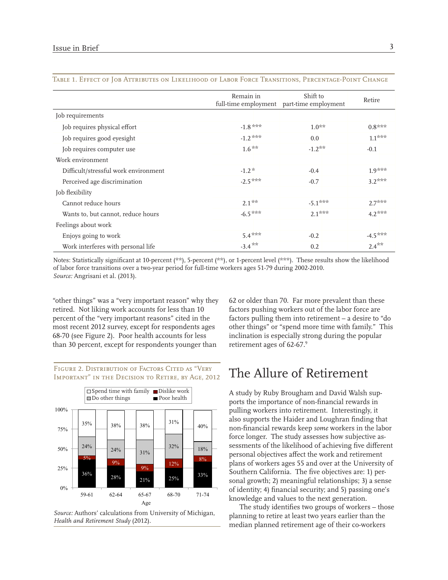|                                      | Remain in | Shift to<br>full-time employment part-time employment | Retire    |
|--------------------------------------|-----------|-------------------------------------------------------|-----------|
| Job requirements                     |           |                                                       |           |
| Job requires physical effort         | $-1.8***$ | $1.0**$                                               | $0.8***$  |
| Job requires good eyesight           | $-1.2***$ | 0.0                                                   | $1.1***$  |
| Job requires computer use            | $1.6**$   | $-1.2**$                                              | $-0.1$    |
| Work environment                     |           |                                                       |           |
| Difficult/stressful work environment | $-1.2*$   | $-0.4$                                                | $1.9***$  |
| Perceived age discrimination         | $-2.5***$ | $-0.7$                                                | $3.2***$  |
| Job flexibility                      |           |                                                       |           |
| Cannot reduce hours                  | $2.1**$   | $-5.1***$                                             | $2.7***$  |
| Wants to, but cannot, reduce hours   | $-6.5***$ | $2.1***$                                              | $4.2***$  |
| Feelings about work                  |           |                                                       |           |
| Enjoys going to work                 | $5.4***$  | $-0.2$                                                | $-4.5***$ |
| Work interferes with personal life   | $-3.4***$ | 0.2                                                   | $2.4**$   |

#### Table 1. Effect of Job Attributes on Likelihood of Labor Force Transitions, Percentage-Point Change

Notes: Statistically significant at 10-percent (\*\*), 5-percent (\*\*), or 1-percent level (\*\*\*). These results show the likelihood of labor force transitions over a two-year period for full-time workers ages 51-79 during 2002-2010. *Source:* Angrisani et al. (2013).

"other things" was a "very important reason" why they retired. Not liking work accounts for less than 10 percent of the "very important reasons" cited in the most recent 2012 survey, except for respondents ages 68-70 (see Figure 2). Poor health accounts for less than 30 percent, except for respondents younger than

FIGURE 2. DISTRIBUTION OF FACTORS CITED AS "VERY Important" in the Decision to Retire, by Age, 2012



*Source:* Authors' calculations from University of Michigan, *Health and Retirement Study* (2012).

62 or older than 70. Far more prevalent than these factors pushing workers out of the labor force are factors pulling them into retirement – a desire to "do other things" or "spend more time with family." This inclination is especially strong during the popular retirement ages of 62-67.9

#### The Allure of Retirement

A study by Ruby Brougham and David Walsh supports the importance of non-financial rewards in pulling workers into retirement. Interestingly, it also supports the Haider and Loughran finding that non-financial rewards keep *some* workers in the labor force longer. The study assesses how subjective assessments of the likelihood of achieving five different personal objectives affect the work and retirement plans of workers ages 55 and over at the University of Southern California. The five objectives are: 1) personal growth; 2) meaningful relationships; 3) a sense of identity; 4) financial security; and 5) passing one's knowledge and values to the next generation.

The study identifies two groups of workers – those planning to retire at least two years earlier than the median planned retirement age of their co-workers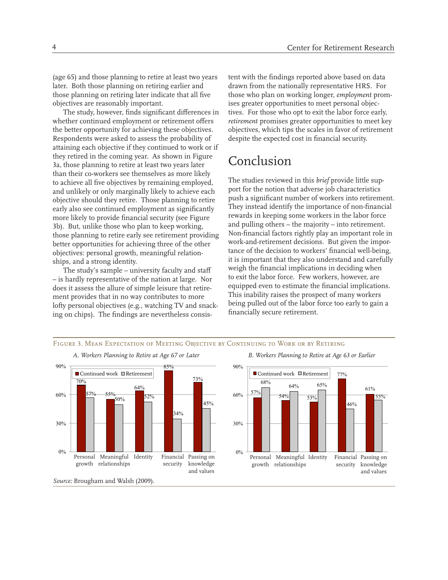(age 65) and those planning to retire at least two years later. Both those planning on retiring earlier and those planning on retiring later indicate that all five objectives are reasonably important.

The study, however, finds significant differences in whether continued employment or retirement offers the better opportunity for achieving these objectives. Respondents were asked to assess the probability of attaining each objective if they continued to work or if they retired in the coming year. As shown in Figure 3a, those planning to retire at least two years later than their co-workers see themselves as more likely to achieve all five objectives by remaining employed, and unlikely or only marginally likely to achieve each objective should they retire. Those planning to retire early also see continued employment as significantly more likely to provide financial security (see Figure 3b). But, unlike those who plan to keep working, those planning to retire early see retirement providing better opportunities for achieving three of the other objectives: personal growth, meaningful relationships, and a strong identity.

The study's sample – university faculty and staff – is hardly representative of the nation at large. Nor does it assess the allure of simple leisure that retirement provides that in no way contributes to more lofty personal objectives (e.g., watching TV and snacking on chips). The findings are nevertheless consistent with the findings reported above based on data drawn from the nationally representative HRS. For those who plan on working longer, *employment* promises greater opportunities to meet personal objectives. For those who opt to exit the labor force early, *retirement* promises greater opportunities to meet key objectives, which tips the scales in favor of retirement despite the expected cost in financial security.

### Conclusion

The studies reviewed in this *brief* provide little support for the notion that adverse job characteristics push a significant number of workers into retirement. They instead identify the importance of non-financial rewards in keeping some workers in the labor force and pulling others – the majority – into retirement. Non-financial factors rightly play an important role in work-and-retirement decisions. But given the importance of the decision to workers' financial well-being, it is important that they also understand and carefully weigh the financial implications in deciding when to exit the labor force. Few workers, however, are equipped even to estimate the financial implications. This inability raises the prospect of many workers being pulled out of the labor force too early to gain a financially secure retirement.

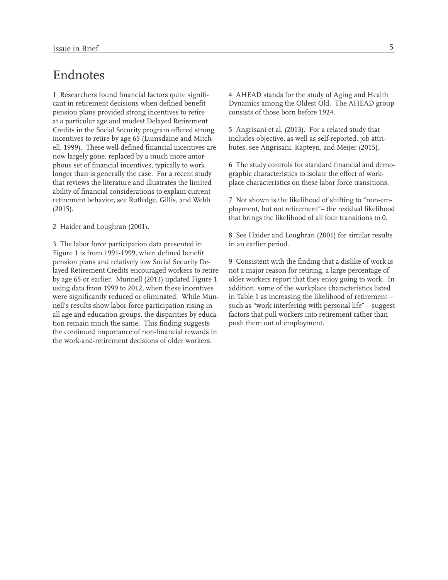#### Endnotes

1 Researchers found financial factors quite significant in retirement decisions when defined benefit pension plans provided strong incentives to retire at a particular age and modest Delayed Retirement Credits in the Social Security program offered strong incentives to retire by age 65 (Lumsdaine and Mitchell, 1999). These well-defined financial incentives are now largely gone, replaced by a much more amorphous set of financial incentives, typically to work longer than is generally the case. For a recent study that reviews the literature and illustrates the limited ability of financial considerations to explain current retirement behavior, see Rutledge, Gillis, and Webb (2015).

2 Haider and Loughran (2001).

3 The labor force participation data presented in Figure 1 is from 1991-1999, when defined benefit pension plans and relatively low Social Security Delayed Retirement Credits encouraged workers to retire by age 65 or earlier. Munnell (2013) updated Figure 1 using data from 1999 to 2012, when these incentives were significantly reduced or eliminated. While Munnell's results show labor force participation rising in all age and education groups, the disparities by education remain much the same. This finding suggests the continued importance of non-financial rewards in the work-and-retirement decisions of older workers.

4 AHEAD stands for the study of Aging and Health Dynamics among the Oldest Old. The AHEAD group consists of those born before 1924.

5 Angrisani et al. (2013). For a related study that includes objective, as well as self-reported, job attributes, see Angrisani, Kapteyn, and Meijer (2015).

6 The study controls for standard financial and demographic characteristics to isolate the effect of workplace characteristics on these labor force transitions.

7 Not shown is the likelihood of shifting to "non-employment, but not retirement"– the residual likelihood that brings the likelihood of all four transitions to 0.

8 See Haider and Loughran (2001) for similar results in an earlier period.

9 Consistent with the finding that a dislike of work is not a major reason for retiring, a large percentage of older workers report that they enjoy going to work. In addition, some of the workplace characteristics listed in Table 1 as increasing the likelihood of retirement – such as "work interfering with personal life" – suggest factors that pull workers into retirement rather than push them out of employment.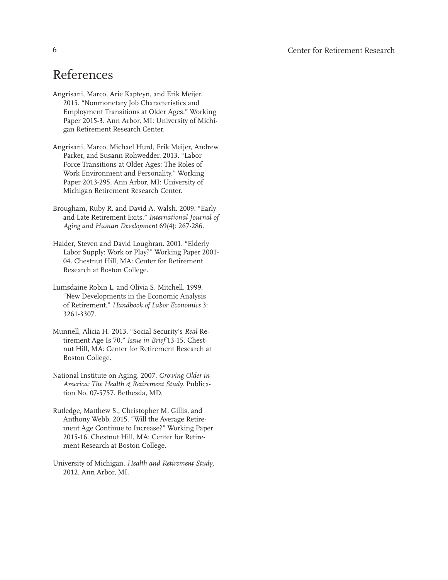## References

- Angrisani, Marco, Arie Kapteyn, and Erik Meijer. 2015. "Nonmonetary Job Characteristics and Employment Transitions at Older Ages." Working Paper 2015-3. Ann Arbor, MI: University of Michigan Retirement Research Center.
- Angrisani, Marco, Michael Hurd, Erik Meijer, Andrew Parker, and Susann Rohwedder. 2013. "Labor Force Transitions at Older Ages: The Roles of Work Environment and Personality." Working Paper 2013-295. Ann Arbor, MI: University of Michigan Retirement Research Center.
- Brougham, Ruby R. and David A. Walsh. 2009. "Early and Late Retirement Exits." *International Journal of Aging and Human Development* 69(4): 267-286.
- Haider, Steven and David Loughran. 2001. "Elderly Labor Supply: Work or Play?" Working Paper 2001- 04. Chestnut Hill, MA: Center for Retirement Research at Boston College.
- Lumsdaine Robin L. and Olivia S. Mitchell. 1999. "New Developments in the Economic Analysis of Retirement." *Handbook of Labor Economics* 3: 3261-3307.
- Munnell, Alicia H. 2013. "Social Security's *Real* Retirement Age Is 70." *Issue in Brief* 13-15. Chestnut Hill, MA: Center for Retirement Research at Boston College.
- National Institute on Aging. 2007. *Growing Older in America: The Health & Retirement Study.* Publication No. 07-5757. Bethesda, MD.
- Rutledge, Matthew S., Christopher M. Gillis, and Anthony Webb. 2015. "Will the Average Retirement Age Continue to Increase?" Working Paper 2015-16. Chestnut Hill, MA: Center for Retirement Research at Boston College.
- University of Michigan. *Health and Retirement Study,*  2012. Ann Arbor, MI.